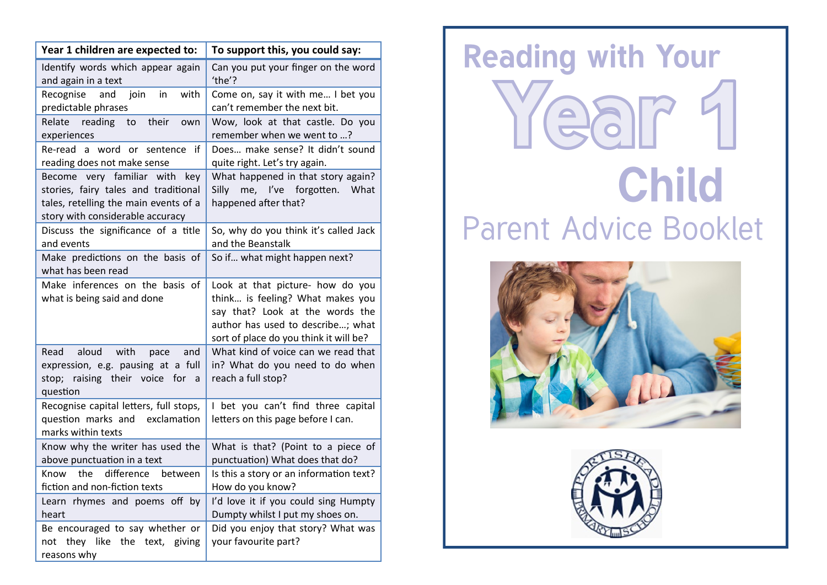| Year 1 children are expected to:                                                                                                                   | To support this, you could say:                                                                                                                                                        |
|----------------------------------------------------------------------------------------------------------------------------------------------------|----------------------------------------------------------------------------------------------------------------------------------------------------------------------------------------|
| Identify words which appear again<br>and again in a text                                                                                           | Can you put your finger on the word<br>'the'?                                                                                                                                          |
| Recognise<br>with<br>and<br>join<br>in<br>predictable phrases                                                                                      | Come on, say it with me I bet you<br>can't remember the next bit.                                                                                                                      |
| Relate reading<br>their<br>to<br>own<br>experiences                                                                                                | Wow, look at that castle. Do you<br>remember when we went to ?                                                                                                                         |
| Re-read a word or sentence<br>if<br>reading does not make sense                                                                                    | Does make sense? It didn't sound<br>quite right. Let's try again.                                                                                                                      |
| Become very familiar with key<br>stories, fairy tales and traditional<br>tales, retelling the main events of a<br>story with considerable accuracy | What happened in that story again?<br>me, I've forgotten.<br>Silly<br>What<br>happened after that?                                                                                     |
| Discuss the significance of a title<br>and events                                                                                                  | So, why do you think it's called Jack<br>and the Beanstalk                                                                                                                             |
| Make predictions on the basis of<br>what has been read                                                                                             | So if what might happen next?                                                                                                                                                          |
| Make inferences on the basis of<br>what is being said and done                                                                                     | Look at that picture- how do you<br>think is feeling? What makes you<br>say that? Look at the words the<br>author has used to describe; what<br>sort of place do you think it will be? |
| Read<br>aloud<br>with<br>and<br>pace<br>expression, e.g. pausing at a full<br>stop; raising their voice for a<br>question                          | What kind of voice can we read that<br>in? What do you need to do when<br>reach a full stop?                                                                                           |
| Recognise capital letters, full stops,<br>question marks and exclamation<br>marks within texts                                                     | I bet you can't find three capital<br>letters on this page before I can.                                                                                                               |
| Know why the writer has used the<br>above punctuation in a text                                                                                    | What is that? (Point to a piece of<br>punctuation) What does that do?                                                                                                                  |
| Know the<br>difference<br>between<br>fiction and non-fiction texts                                                                                 | Is this a story or an information text?<br>How do you know?                                                                                                                            |
| Learn rhymes and poems off by<br>heart                                                                                                             | I'd love it if you could sing Humpty<br>Dumpty whilst I put my shoes on.                                                                                                               |
| Be encouraged to say whether or<br>not they like the text, giving<br>reasons why                                                                   | Did you enjoy that story? What was<br>your favourite part?                                                                                                                             |